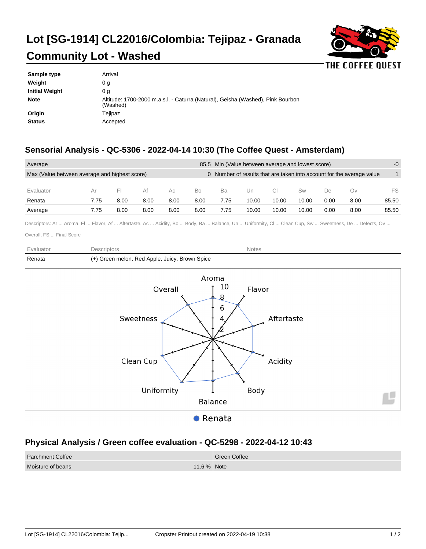## **Lot [SG-1914] CL22016/Colombia: Tejipaz - Granada Community Lot - Washed**



| Altitude: 1700-2000 m.a.s.l. - Caturra (Natural), Geisha (Washed), Pink Bourbon |
|---------------------------------------------------------------------------------|
|                                                                                 |
|                                                                                 |
|                                                                                 |

## **Sensorial Analysis - QC-5306 - 2022-04-14 10:30 (The Coffee Quest - Amsterdam)**

| Average                                       |      |      |      |      | 85.5 Min (Value between average and lowest score)                     |      |       |       | $-0$  |      |      |       |
|-----------------------------------------------|------|------|------|------|-----------------------------------------------------------------------|------|-------|-------|-------|------|------|-------|
| Max (Value between average and highest score) |      |      |      |      | 0 Number of results that are taken into account for the average value |      |       |       |       |      |      |       |
| Evaluator                                     | Αr   | $-1$ | Af   | Ac   | Bo                                                                    | Ba   | Un    |       | Sw    | De   | Ov   | FS    |
| Renata                                        | 7.75 | 8.00 | 8.00 | 8.00 | 8.00                                                                  | 7.75 | 10.00 | 10.00 | 10.00 | 0.00 | 8.00 | 85.50 |
| Average                                       | 7.75 | 8.00 | 8.00 | 8.00 | 8.00                                                                  | 7.75 | 10.00 | 10.00 | 10.00 | 0.00 | 8.00 | 85.50 |

Descriptors: Ar ... Aroma, Fl ... Flavor, Af ... Aftertaste, Ac ... Acidity, Bo ... Body, Ba ... Balance, Un ... Uniformity, Cl ... Clean Cup, Sw ... Sweetness, De ... Defects, Ov ...

Overall, FS ... Final Score

| Fvaluator | Descriptors                                    | <b>Notes</b> |
|-----------|------------------------------------------------|--------------|
| Renata    | (+) Green melon, Red Apple, Juicy, Brown Spice |              |
|           |                                                |              |



## **Physical Analysis / Green coffee evaluation - QC-5298 - 2022-04-12 10:43**

| <b>Parchment Coffee</b> |             | Green Coffee |
|-------------------------|-------------|--------------|
| Moisture of beans       | 11.6 % Note |              |